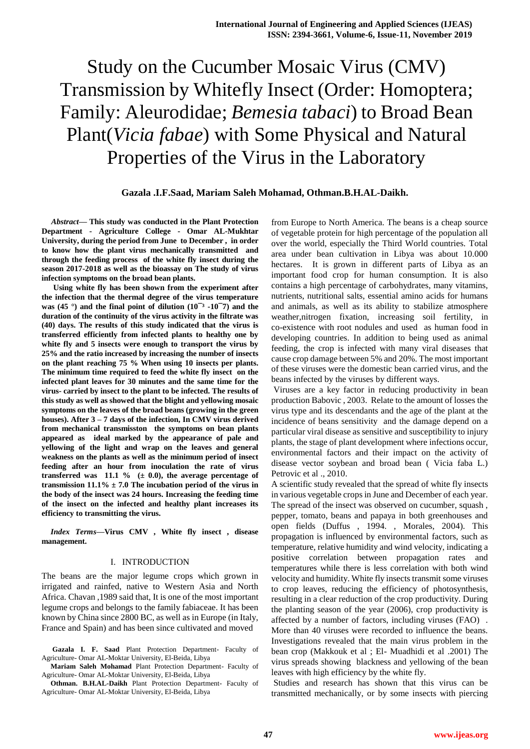# Study on the Cucumber Mosaic Virus (CMV) Transmission by Whitefly Insect (Order: Homoptera; Family: Aleurodidae; *Bemesia tabaci*) to Broad Bean Plant(*Vicia fabae*) with Some Physical and Natural Properties of the Virus in the Laboratory

## **Gazala .I.F.Saad, Mariam Saleh Mohamad, Othman.B.H.AL-Daikh.**

*Abstract***— This study was conducted in the Plant Protection Department - Agriculture College - Omar AL-Mukhtar University, during the period from June to December , in order to know how the plant virus mechanically transmitted and through the feeding process of the white fly insect during the season 2017-2018 as well as the bioassay on The study of virus infection symptoms on the broad bean plants.** 

**Using white fly has been shown from the experiment after the infection that the thermal degree of the virus temperature**  was (45<sup>o</sup>) and the final point of dilution (10<sup>-3</sup> -10<sup>-7</sup>) and the **duration of the continuity of the virus activity in the filtrate was (40) days. The results of this study indicated that the virus is transferred efficiently from infected plants to healthy one by white fly and 5 insects were enough to transport the virus by 25% and the ratio increased by increasing the number of insects on the plant reaching 75 % When using 10 insects per plants. The minimum time required to feed the white fly insect on the infected plant leaves for 30 minutes and the same time for the virus- carried by insect to the plant to be infected. The results of this study as well as showed that the blight and yellowing mosaic symptoms on the leaves of the broad beans (growing in the green houses). After 3 – 7 days of the infection, In CMV virus derived from mechanical transmisston the symptoms on bean plants appeared as ideal marked by the appearance of pale and yellowing of the light and wrap on the leaves and general weakness on the plants as well as the minimum period of insect feeding after an hour from inoculation the rate of virus**  transferred was  $11.1 \%$  ( $\pm 0.0$ ), the average percentage of **transmission 11.1% ± 7.0 The incubation period of the virus in the body of the insect was 24 hours. Increasing the feeding time of the insect on the infected and healthy plant increases its efficiency to transmitting the virus.** 

*Index Terms***—Virus CMV , White fly insect , disease management.** 

#### I. INTRODUCTION

The beans are the major legume crops which grown in irrigated and rainfed, native to Western Asia and North Africa. Chavan ,1989 said that, It is one of the most important legume crops and belongs to the family fabiaceae. It has been known by China since 2800 BC, as well as in Europe (in Italy, France and Spain) and has been since cultivated and moved

**Gazala I. F. Saad** Plant Protection Department- Faculty of Agriculture- Omar AL-Moktar University, El-Beida, Libya

**Mariam Saleh Mohamad** Plant Protection Department- Faculty of Agriculture- Omar AL-Moktar University, El-Beida, Libya

**Othman. B.H.AL-Daikh** Plant Protection Department- Faculty of Agriculture- Omar AL-Moktar University, El-Beida, Libya

from Europe to North America. The beans is a cheap source of vegetable protein for high percentage of the population all over the world, especially the Third World countries. Total area under bean cultivation in Libya was about 10.000 hectares. It is grown in different parts of Libya as an important food crop for human consumption. It is also contains a high percentage of carbohydrates, many vitamins, nutrients, nutritional salts, essential amino acids for humans and animals, as well as its ability to stabilize atmosphere weather,nitrogen fixation, increasing soil fertility, in co-existence with root nodules and used as human food in developing countries. In addition to being used as animal feeding, the crop is infected with many viral diseases that cause crop damage between 5% and 20%. The most important of these viruses were the domestic bean carried virus, and the beans infected by the viruses by different ways.

Viruses are a key factor in reducing productivity in bean production Babovic , 2003. Relate to the amount of losses the virus type and its descendants and the age of the plant at the incidence of beans sensitivity and the damage depend on a particular viral disease as sensitive and susceptibility to injury plants, the stage of plant development where infections occur, environmental factors and their impact on the activity of disease vector soybean and broad bean ( Vicia faba L.) Petrovic et al ., 2010.

A scientific study revealed that the spread of white fly insects in various vegetable crops in June and December of each year. The spread of the insect was observed on cucumber, squash , pepper, tomato, beans and papaya in both greenhouses and open fields (Duffus , 1994. , Morales, 2004). This propagation is influenced by environmental factors, such as temperature, relative humidity and wind velocity, indicating a positive correlation between propagation rates and temperatures while there is less correlation with both wind velocity and humidity. White fly insects transmit some viruses to crop leaves, reducing the efficiency of photosynthesis, resulting in a clear reduction of the crop productivity. During the planting season of the year (2006), crop productivity is affected by a number of factors, including viruses (FAO) . More than 40 viruses were recorded to influence the beans. Investigations revealed that the main virus problem in the bean crop (Makkouk et al ; El- Muadhidi et al .2001) The virus spreads showing blackness and yellowing of the bean leaves with high efficiency by the white fly.

Studies and research has shown that this virus can be transmitted mechanically, or by some insects with piercing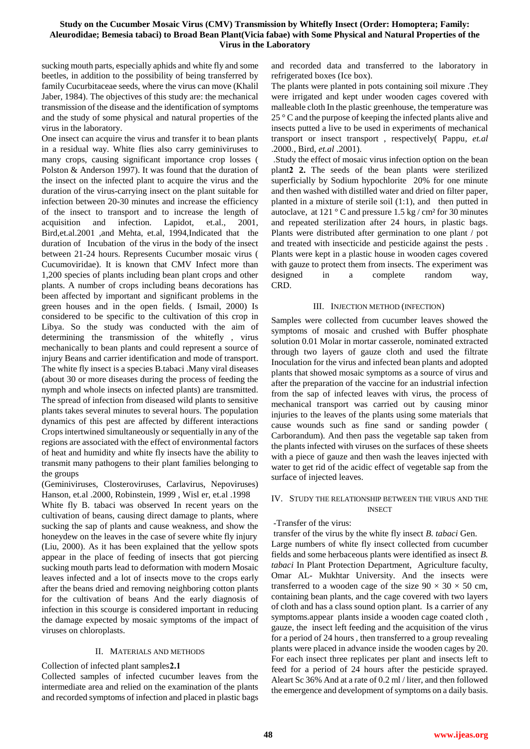## **Study on the Cucumber Mosaic Virus (CMV) Transmission by Whitefly Insect (Order: Homoptera; Family: Aleurodidae; Bemesia tabaci) to Broad Bean Plant(Vicia fabae) with Some Physical and Natural Properties of the Virus in the Laboratory**

sucking mouth parts, especially aphids and white fly and some beetles, in addition to the possibility of being transferred by family Cucurbitaceae seeds, where the virus can move (Khalil Jaber, 1984). The objectives of this study are: the mechanical transmission of the disease and the identification of symptoms and the study of some physical and natural properties of the virus in the laboratory.

One insect can acquire the virus and transfer it to bean plants in a residual way. White flies also carry geminiviruses to many crops, causing significant importance crop losses ( Polston & Anderson 1997). It was found that the duration of the insect on the infected plant to acquire the virus and the duration of the virus-carrying insect on the plant suitable for infection between 20-30 minutes and increase the efficiency of the insect to transport and to increase the length of acquisition and infection. Lapidot, et.al., 2001, Bird,et.al.2001 ,and Mehta, et.al, 1994,Indicated that the duration of Incubation of the virus in the body of the insect between 21-24 hours. Represents Cucumber mosaic virus ( Cucumoviridae). It is known that CMV Infect more than 1,200 species of plants including bean plant crops and other plants. A number of crops including beans decorations has been affected by important and significant problems in the green houses and in the open fields. ( Ismail, 2000) Is considered to be specific to the cultivation of this crop in Libya. So the study was conducted with the aim of determining the transmission of the whitefly , virus mechanically to bean plants and could represent a source of injury Beans and carrier identification and mode of transport. The white fly insect is a species B.tabaci .Many viral diseases (about 30 or more diseases during the process of feeding the nymph and whole insects on infected plants) are transmitted. The spread of infection from diseased wild plants to sensitive plants takes several minutes to several hours. The population dynamics of this pest are affected by different interactions Crops intertwined simultaneously or sequentially in any of the regions are associated with the effect of environmental factors of heat and humidity and white fly insects have the ability to transmit many pathogens to their plant families belonging to the groups

(Geminiviruses, Closteroviruses, Carlavirus, Nepoviruses) Hanson, et.al .2000, Robinstein, 1999 , Wisl er, et.al .1998

White fly B. tabaci was observed In recent years on the cultivation of beans, causing direct damage to plants, where sucking the sap of plants and cause weakness, and show the honeydew on the leaves in the case of severe white fly injury (Liu, 2000). As it has been explained that the yellow spots appear in the place of feeding of insects that got piercing sucking mouth parts lead to deformation with modern Mosaic leaves infected and a lot of insects move to the crops early after the beans dried and removing neighboring cotton plants for the cultivation of beans And the early diagnosis of infection in this scourge is considered important in reducing the damage expected by mosaic symptoms of the impact of viruses on chloroplasts.

#### II. MATERIALS AND METHODS

Collection of infected plant samples<sup>2.1</sup>

Collected samples of infected cucumber leaves from the intermediate area and relied on the examination of the plants and recorded symptoms of infection and placed in plastic bags

and recorded data and transferred to the laboratory in refrigerated boxes (Ice box).

The plants were planted in pots containing soil mixure .They were irrigated and kept under wooden cages covered with malleable cloth In the plastic greenhouse, the temperature was 25 ° C and the purpose of keeping the infected plants alive and insects putted a live to be used in experiments of mechanical transport or insect transport , respectively( Pappu*, et.al* .2000., Bird, *et.al* .2001).

 .Study the effect of mosaic virus infection option on the bean plant**1 2.** The seeds of the bean plants were sterilized superficially by Sodium hypochlorite 20% for one minute and then washed with distilled water and dried on filter paper, planted in a mixture of sterile soil (1:1), and then putted in autoclave, at  $121 \degree$ C and pressure  $1.5$  kg / cm<sup>2</sup> for 30 minutes and repeated sterilization after 24 hours, in plastic bags. Plants were distributed after germination to one plant / pot and treated with insecticide and pesticide against the pests . Plants were kept in a plastic house in wooden cages covered with gauze to protect them from insects. The experiment was designed in a complete random way, CRD.

#### III. INJECTION METHOD (INFECTION)

Samples were collected from cucumber leaves showed the symptoms of mosaic and crushed with Buffer phosphate solution 0.01 Molar in mortar casserole, nominated extracted through two layers of gauze cloth and used the filtrate Inoculation for the virus and infected bean plants and adopted plants that showed mosaic symptoms as a source of virus and after the preparation of the vaccine for an industrial infection from the sap of infected leaves with virus, the process of mechanical transport was carried out by causing minor injuries to the leaves of the plants using some materials that cause wounds such as fine sand or sanding powder ( Carborandum). And then pass the vegetable sap taken from the plants infected with viruses on the surfaces of these sheets with a piece of gauze and then wash the leaves injected with water to get rid of the acidic effect of vegetable sap from the surface of injected leaves.

#### IV. STUDY THE RELATIONSHIP BETWEEN THE VIRUS AND THE INSECT

#### -Transfer of the virus:

transfer of the virus by the white fly insect *B. tabaci* Gen.

Large numbers of white fly insect collected from cucumber fields and some herbaceous plants were identified as insect *B. tabaci* In Plant Protection Department, Agriculture faculty, Omar AL- Mukhtar University. And the insects were transferred to a wooden cage of the size  $90 \times 30 \times 50$  cm, containing bean plants, and the cage covered with two layers of cloth and has a class sound option plant. Is a carrier of any symptoms.appear plants inside a wooden cage coated cloth , gauze, the insect left feeding and the acquisition of the virus for a period of 24 hours , then transferred to a group revealing plants were placed in advance inside the wooden cages by 20. For each insect three replicates per plant and insects left to feed for a period of 24 hours after the pesticide sprayed. Aleart Sc 36% And at a rate of 0.2 ml / liter, and then followed the emergence and development of symptoms on a daily basis.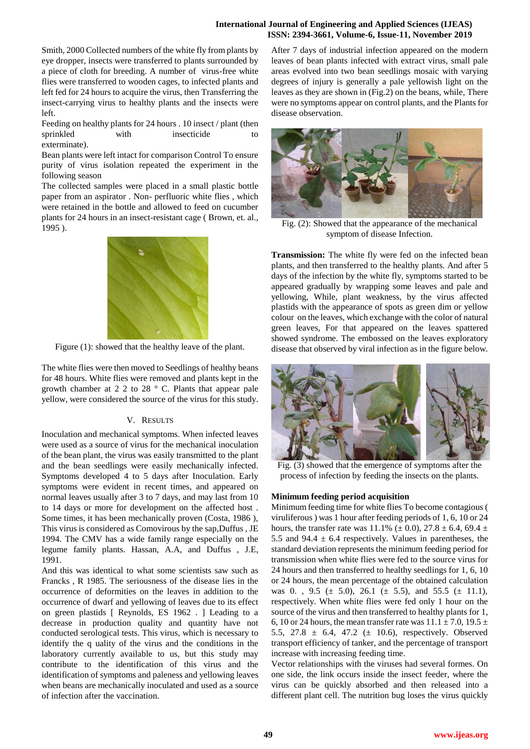#### **International Journal of Engineering and Applied Sciences (IJEAS) ISSN: 2394-3661, Volume-6, Issue-11, November 2019**

Smith, 2000 Collected numbers of the white fly from plants by eye dropper, insects were transferred to plants surrounded by a piece of cloth for breeding. A number of virus-free white flies were transferred to wooden cages, to infected plants and left fed for 24 hours to acquire the virus, then Transferring the insect-carrying virus to healthy plants and the insects were left.

Feeding on healthy plants for 24 hours . 10 insect / plant (then sprinkled with insecticide exterminate).

Bean plants were left intact for comparison Control To ensure purity of virus isolation repeated the experiment in the following season

The collected samples were placed in a small plastic bottle paper from an aspirator . Non- perfluoric white flies , which were retained in the bottle and allowed to feed on cucumber plants for 24 hours in an insect-resistant cage ( Brown, et. al., 1995 ).



Figure (1): showed that the healthy leave of the plant.

The white flies were then moved to Seedlings of healthy beans for 48 hours. White flies were removed and plants kept in the growth chamber at 2 2 to 28 ° C. Plants that appear pale yellow, were considered the source of the virus for this study.

# V. RESULTS

Inoculation and mechanical symptoms. When infected leaves were used as a source of virus for the mechanical inoculation of the bean plant, the virus was easily transmitted to the plant and the bean seedlings were easily mechanically infected. Symptoms developed 4 to 5 days after Inoculation. Early symptoms were evident in recent times, and appeared on normal leaves usually after 3 to 7 days, and may last from 10 to 14 days or more for development on the affected host . Some times, it has been mechanically proven (Costa, 1986 ), This virus is considered as Comovirous by the sap,Duffus , JE 1994. The CMV has a wide family range especially on the legume family plants. Hassan, A.A, and Duffus , J.E, 1991.

And this was identical to what some scientists saw such as Francks , R 1985. The seriousness of the disease lies in the occurrence of deformities on the leaves in addition to the occurrence of dwarf and yellowing of leaves due to its effect on green plastids [ Reynolds, ES 1962 . ] Leading to a decrease in production quality and quantity have not conducted serological tests. This virus, which is necessary to identify the q uality of the virus and the conditions in the laboratory currently available to us, but this study may contribute to the identification of this virus and the identification of symptoms and paleness and yellowing leaves when beans are mechanically inoculated and used as a source of infection after the vaccination.

After 7 days of industrial infection appeared on the modern leaves of bean plants infected with extract virus, small pale areas evolved into two bean seedlings mosaic with varying degrees of injury is generally a pale yellowish light on the leaves as they are shown in (Fig.2) on the beans, while, There were no symptoms appear on control plants, and the Plants for disease observation.



Fig. (2): Showed that the appearance of the mechanical symptom of disease Infection.

**Transmission:** The white fly were fed on the infected bean plants, and then transferred to the healthy plants. And after 5 days of the infection by the white fly, symptoms started to be appeared gradually by wrapping some leaves and pale and yellowing, While, plant weakness, by the virus affected plastids with the appearance of spots as green dim or yellow colour on the leaves, which exchange with the color of natural green leaves, For that appeared on the leaves spattered showed syndrome. The embossed on the leaves exploratory disease that observed by viral infection as in the figure below.



Fig. (3) showed that the emergence of symptoms after the process of infection by feeding the insects on the plants.

#### **Minimum feeding period acquisition**

Minimum feeding time for white flies To become contagious ( viruliferous ) was 1 hour after feeding periods of 1, 6, 10 or 24 hours, the transfer rate was 11.1% ( $\pm$  0.0), 27.8  $\pm$  6.4, 69.4  $\pm$ 5.5 and 94.4  $\pm$  6.4 respectively. Values in parentheses, the standard deviation represents the minimum feeding period for transmission when white flies were fed to the source virus for 24 hours and then transferred to healthy seedlings for 1, 6, 10 or 24 hours, the mean percentage of the obtained calculation was 0., 9.5 ( $\pm$  5.0), 26.1 ( $\pm$  5.5), and 55.5 ( $\pm$  11.1), respectively. When white flies were fed only 1 hour on the source of the virus and then transferred to healthy plants for 1, 6, 10 or 24 hours, the mean transfer rate was  $11.1 \pm 7.0$ ,  $19.5 \pm 7.0$ 5.5, 27.8 ± 6.4, 47.2 (± 10.6), respectively. Observed transport efficiency of tanker, and the percentage of transport increase with increasing feeding time.

Vector relationships with the viruses had several formes. On one side, the link occurs inside the insect feeder, where the virus can be quickly absorbed and then released into a different plant cell. The nutrition bug loses the virus quickly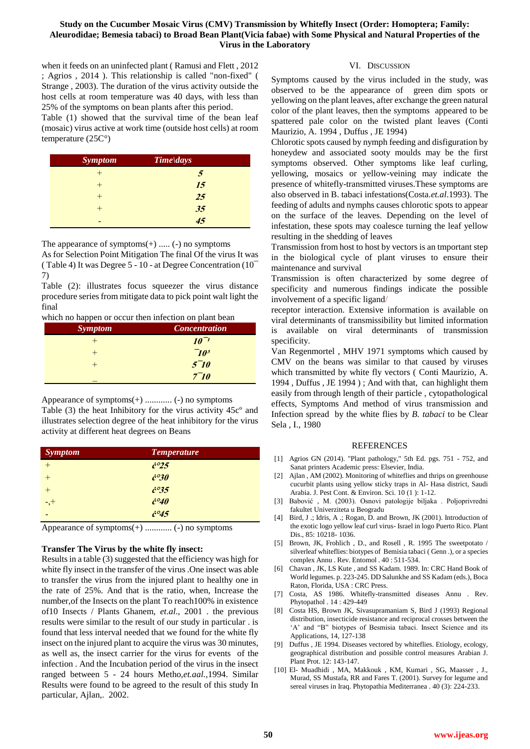## **Study on the Cucumber Mosaic Virus (CMV) Transmission by Whitefly Insect (Order: Homoptera; Family: Aleurodidae; Bemesia tabaci) to Broad Bean Plant(Vicia fabae) with Some Physical and Natural Properties of the Virus in the Laboratory**

when it feeds on an uninfected plant ( Ramusi and Flett , 2012 ; Agrios , 2014 ). This relationship is called "non-fixed" ( Strange , 2003). The duration of the virus activity outside the host cells at room temperature was 40 days, with less than 25% of the symptoms on bean plants after this period.

Table (1) showed that the survival time of the bean leaf (mosaic) virus active at work time (outside host cells) at room temperature (25C°)

| <b>Symptom</b> | $Time \, days$ |
|----------------|----------------|
|                |                |
|                | 15             |
|                | 25             |
|                | 35             |
|                |                |

The appearance of symptoms $(+)$  .....  $(-)$  no symptoms

As for Selection Point Mitigation The final Of the virus It was ( Table 4) It was Degree 5 - 10 - at Degree Concentration (10¯ 7)

Table (2): illustrates focus squeezer the virus distance procedure series from mitigate data to pick point walt light the final

which no happen or occur then infection on plant bean

| <b>Symptom</b> | <b>Concentration</b> |
|----------------|----------------------|
|                | $10^{-1}$            |
|                | 70 <sup>3</sup>      |
|                | $5^-10$              |
|                | $7-10$               |

Appearance of symptoms(+) ............ (-) no symptoms

Table (3) the heat Inhibitory for the virus activity 45cº and illustrates selection degree of the heat inhibitory for the virus activity at different heat degrees on Beans

| <b>Symptom</b> | <b>Temperature</b>       |
|----------------|--------------------------|
|                | $\dot{c}^{\circ}25$      |
|                | $\dot{c}^{\circ}3\theta$ |
|                | $\dot{c}^{\circ}35$      |
| $-1$ , $+$     | $\dot{c}^{\circ 40}$     |
|                | $\dot{c}^{\circ}45$      |

Appearance of symptoms(+) ............ (-) no symptoms

# **Transfer The Virus by the white fly insect:**

Results in a table (3) suggested that the efficiency was high for white fly insect in the transfer of the virus .One insect was able to transfer the virus from the injured plant to healthy one in the rate of 25%. And that is the ratio, when, Increase the number,of the Insects on the plant To reach100% in existence of10 Insects / Plants Ghanem, *et*.*al*., 2001 . the previous results were similar to the result of our study in particular . is found that less interval needed that we found for the white fly insect on the injured plant to acquire the virus was 30 minutes, as well as, the insect carrier for the virus for events of the infection . And the Incubation period of the virus in the insect ranged between 5 - 24 hours Metho,*et.aal.,*1994. Similar Results were found to be agreed to the result of this study In particular, Ajlan,. 2002.

#### VI. DISCUSSION

Symptoms caused by the virus included in the study, was observed to be the appearance of green dim spots or yellowing on the plant leaves, after exchange the green natural color of the plant leaves, then the symptoms appeared to be spattered pale color on the twisted plant leaves (Conti Maurizio, A. 1994 , Duffus , JE 1994)

Chlorotic spots caused by nymph feeding and disfiguration by honeydew and associated sooty moulds may be the first symptoms observed. Other symptoms like leaf curling, yellowing, mosaics or yellow-veining may indicate the presence of whitefly-transmitted viruses.These symptoms are also observed in B. tabaci infestations(Costa.*et.al*.1993). The feeding of adults and nymphs causes chlorotic spots to appear on the surface of the leaves. Depending on the level of infestation, these spots may coalesce turning the leaf yellow resulting in the shedding of leaves

Transmission from host to host by vectors is an tmportant step in the biological cycle of plant viruses to ensure their maintenance and survival

Transmission is often characterized by some degree of specificity and numerous findings indicate the possible involvement of a specific ligand/

receptor interaction. Extensive information is available on viral determinants of transmissibility but limited information is available on viral determinants of transmission specificity.

Van Regenmortel , MHV 1971 symptoms which caused by CMV on the beans was similar to that caused by viruses which transmitted by white fly vectors ( Conti Maurizio, A. 1994 , Duffus , JE 1994 ) ; And with that, can highlight them easily from through length of their particle , cytopathological effects, Symptoms And method of virus transmission and Infection spread by the white flies by *B. tabaci* to be Clear Sela , I., 1980

#### REFERENCES

- [1] Agrios GN (2014). "Plant pathology," 5th Ed. pgs. 751 752, and Sanat printers Academic press: Elsevier, India.
- [2] Ajlan , AM (2002). Monitoring of whiteflies and thrips on greenhouse cucurbit plants using yellow sticky traps in Al- Hasa district, Saudi Arabia. J. Pest Cont. & Environ. Sci. 10 (1 ): 1-12.
- [3] Babović , M. (2003). Osnovi patologije biljaka . Poljoprivredni fakultet Univerziteta u Beogradu
- [4] Bird, J .; Idris, A .; Rogan, D. and Brown, JK (2001). Introduction of the exotic logo yellow leaf curl virus- Israel in logo Puerto Rico. Plant Dis., 85: 10218- 1036.
- [5] Brown, JK, Frohlich , D., and Rosell , R. 1995 The sweetpotato / silverleaf whiteflies: biotypes of Bemisia tabaci ( Genn .), or a species complex Annu . Rev. Entomol . 40 : 511-534.
- [6] Chavan , JK, LS Kute , and SS Kadam. 1989. In: CRC Hand Book of World legumes. p. 223-245. DD Salunkhe and SS Kadam (eds.), Boca Raton, Florida, USA : CRC Press.
- [7] Costa, AS 1986. Whitefly-transmitted diseases Annu . Rev. Phytopathol . 14 : 429-449
- [8] Costa HS, Brown JK, Sivasupramaniam S, Bird J (1993) Regional distribution, insecticide resistance and reciprocal crosses between the 'A' and "B" biotypes of Besmisia tabaci. Insect Science and its Applications, 14, 127-138
- [9] Duffus , JE 1994. Diseases vectored by whiteflies. Etiology, ecology, geographical distribution and possible control measures Arabian J. Plant Prot. 12: 143-147.
- [10] El- Muadhidi , MA, Makkouk , KM, Kumari , SG, Maasser , J., Murad, SS Mustafa, RR and Fares T. (2001). Survey for legume and sereal viruses in Iraq. Phytopathia Mediterranea . 40 (3): 224-233.